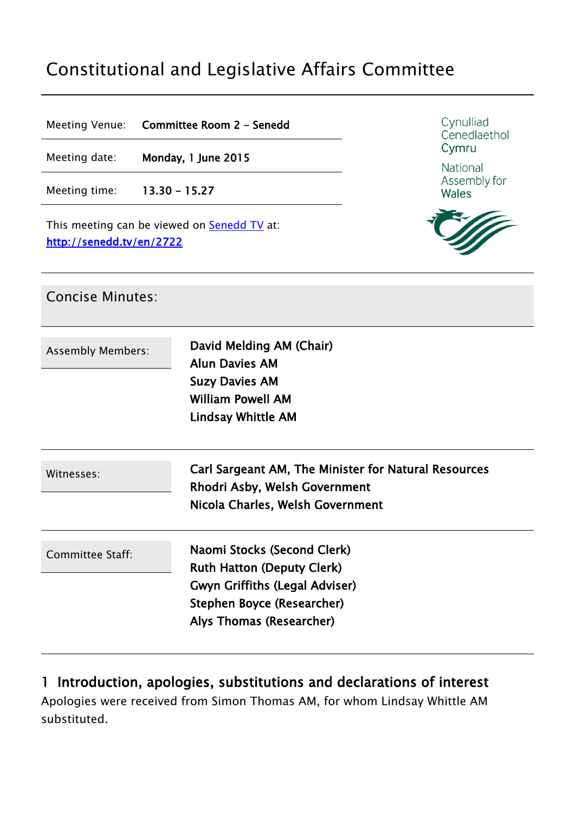# Constitutional and Legislative Affairs Committee

Meeting Venue: **Committee Room 2 - Senedd**

Meeting date: **Monday, 1 June 2015**

Meeting time: **13.30 - 15.27**

This meeting can be viewed on **[Senedd](http://senedd.tv/) TV** at: **http://senedd.tv/en/2722**



National Assembly for **Wales** 



| <b>Concise Minutes:</b>  |                                                                                                                                                                     |
|--------------------------|---------------------------------------------------------------------------------------------------------------------------------------------------------------------|
| <b>Assembly Members:</b> | David Melding AM (Chair)<br><b>Alun Davies AM</b><br><b>Suzy Davies AM</b><br><b>William Powell AM</b><br><b>Lindsay Whittle AM</b>                                 |
| Witnesses:               | Carl Sargeant AM, The Minister for Natural Resources<br>Rhodri Asby, Welsh Government<br>Nicola Charles, Welsh Government                                           |
| Committee Staff:         | Naomi Stocks (Second Clerk)<br><b>Ruth Hatton (Deputy Clerk)</b><br><b>Gwyn Griffiths (Legal Adviser)</b><br>Stephen Boyce (Researcher)<br>Alys Thomas (Researcher) |

#### **1 Introduction, apologies, substitutions and declarations of interest**

Apologies were received from Simon Thomas AM, for whom Lindsay Whittle AM substituted.